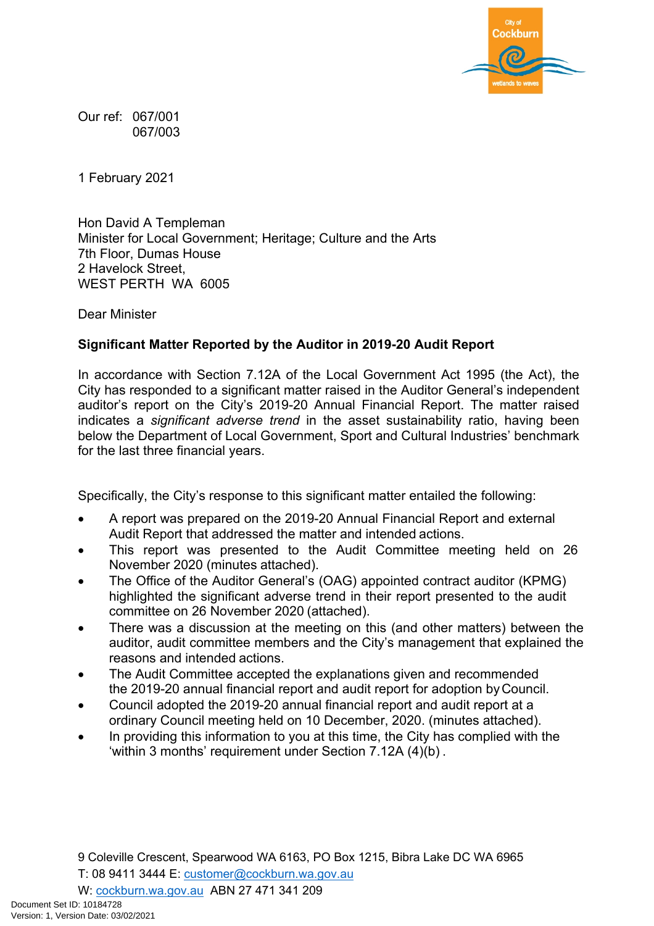

Our ref: 067/001 067/003

1 February 2021

Hon David A Templeman Minister for Local Government; Heritage; Culture and the Arts 7th Floor, Dumas House 2 Havelock Street, WEST PERTH WA 6005

Dear Minister

## **Significant Matter Reported by the Auditor in 2019-20 Audit Report**

In accordance with Section 7.12A of the Local Government Act 1995 (the Act), the City has responded to a significant matter raised in the Auditor General's independent auditor's report on the City's 2019-20 Annual Financial Report. The matter raised indicates a *significant adverse trend* in the asset sustainability ratio, having been below the Department of Local Government, Sport and Cultural Industries' benchmark for the last three financial years.

Specifically, the City's response to this significant matter entailed the following:

- A report was prepared on the 2019-20 Annual Financial Report and external Audit Report that addressed the matter and intended actions.
- This report was presented to the Audit Committee meeting held on 26 November 2020 (minutes attached).
- The Office of the Auditor General's (OAG) appointed contract auditor (KPMG) highlighted the significant adverse trend in their report presented to the audit committee on 26 November 2020 (attached).
- There was a discussion at the meeting on this (and other matters) between the auditor, audit committee members and the City's management that explained the reasons and intended actions.
- The Audit Committee accepted the explanations given and recommended the 2019-20 annual financial report and audit report for adoption by Council.
- Council adopted the 2019-20 annual financial report and audit report at a ordinary Council meeting held on 10 December, 2020. (minutes attached).
- In providing this information to you at this time, the City has complied with the 'within 3 months' requirement under Section 7.12A (4)(b) .

9 Coleville Crescent, Spearwood WA 6163, PO Box 1215, Bibra Lake DC WA 6965

T: 08 9411 3444 E: [customer@cockburn.wa.gov.au](mailto:customer@cockburn.wa.gov.au) 

W: [cockburn.wa.gov.au](https://www.cockburn.wa.gov.au/) ABN 27 471 341 209